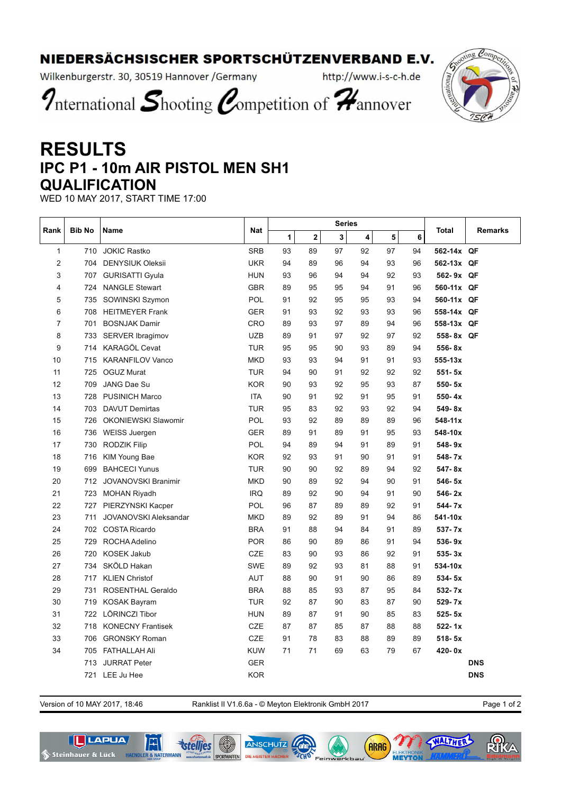## NIEDERSÄCHSISCHER SPORTSCHÜTZENVERBAND E.V.

Wilkenburgerstr. 30, 30519 Hannover / Germany

http://www.i-s-c-h.de

International Shooting Competition of Hannover

## **RESULTS IPC P1 - 10m AIR PISTOL MEN SH1 QUALIFICATION**

WED 10 MAY 2017, START TIME 17:00

| Rank | <b>Bib No</b> | <b>Name</b>                  | <b>Nat</b> | <b>Series</b> |                         |                         |    |    |    |            | <b>Remarks</b> |
|------|---------------|------------------------------|------------|---------------|-------------------------|-------------------------|----|----|----|------------|----------------|
|      |               |                              |            | 1             | $\overline{\mathbf{2}}$ | $\overline{\mathbf{3}}$ | 4  | 5  | 6  | Total      |                |
| 1    |               | 710 JOKIC Rastko             | <b>SRB</b> | 93            | 89                      | 97                      | 92 | 97 | 94 | 562-14x QF |                |
| 2    | 704           | <b>DENYSIUK Oleksii</b>      | <b>UKR</b> | 94            | 89                      | 96                      | 94 | 93 | 96 | 562-13x QF |                |
| 3    | 707           | <b>GURISATTI Gyula</b>       | <b>HUN</b> | 93            | 96                      | 94                      | 94 | 92 | 93 | 562-9x QF  |                |
| 4    | 724           | <b>NANGLE Stewart</b>        | <b>GBR</b> | 89            | 95                      | 95                      | 94 | 91 | 96 | 560-11x QF |                |
| 5    |               | 735 SOWINSKI Szymon          | <b>POL</b> | 91            | 92                      | 95                      | 95 | 93 | 94 | 560-11x QF |                |
| 6    |               | 708 HEITMEYER Frank          | <b>GER</b> | 91            | 93                      | 92                      | 93 | 93 | 96 | 558-14x QF |                |
| 7    |               | 701 BOSNJAK Damir            | CRO        | 89            | 93                      | 97                      | 89 | 94 | 96 | 558-13x QF |                |
| 8    | 733           | <b>SERVER Ibragimov</b>      | <b>UZB</b> | 89            | 91                      | 97                      | 92 | 97 | 92 | 558-8x QF  |                |
| 9    | 714           | KARAGÖL Cevat                | <b>TUR</b> | 95            | 95                      | 90                      | 93 | 89 | 94 | 556-8x     |                |
| 10   | 715           | <b>KARANFILOV Vanco</b>      | <b>MKD</b> | 93            | 93                      | 94                      | 91 | 91 | 93 | 555-13x    |                |
| 11   | 725           | <b>OGUZ Murat</b>            | <b>TUR</b> | 94            | 90                      | 91                      | 92 | 92 | 92 | $551 - 5x$ |                |
| 12   | 709           | JANG Dae Su                  | <b>KOR</b> | 90            | 93                      | 92                      | 95 | 93 | 87 | $550 - 5x$ |                |
| 13   | 728           | <b>PUSINICH Marco</b>        | <b>ITA</b> | 90            | 91                      | 92                      | 91 | 95 | 91 | $550 - 4x$ |                |
| 14   |               | 703 DAVUT Demirtas           | <b>TUR</b> | 95            | 83                      | 92                      | 93 | 92 | 94 | 549-8x     |                |
| 15   | 726           | <b>OKONIEWSKI Slawomir</b>   | <b>POL</b> | 93            | 92                      | 89                      | 89 | 89 | 96 | 548-11x    |                |
| 16   |               | 736 WEISS Juergen            | <b>GER</b> | 89            | 91                      | 89                      | 91 | 95 | 93 | 548-10x    |                |
| 17   | 730           | <b>RODZIK Filip</b>          | POL        | 94            | 89                      | 94                      | 91 | 89 | 91 | 548-9x     |                |
| 18   | 716           | KIM Young Bae                | <b>KOR</b> | 92            | 93                      | 91                      | 90 | 91 | 91 | 548-7x     |                |
| 19   | 699           | <b>BAHCECI Yunus</b>         | <b>TUR</b> | 90            | 90                      | 92                      | 89 | 94 | 92 | 547-8x     |                |
| 20   |               | 712 JOVANOVSKI Branimir      | <b>MKD</b> | 90            | 89                      | 92                      | 94 | 90 | 91 | 546-5x     |                |
| 21   |               | 723 MOHAN Riyadh             | <b>IRQ</b> | 89            | 92                      | 90                      | 94 | 91 | 90 | $546 - 2x$ |                |
| 22   | 727           | PIERZYNSKI Kacper            | <b>POL</b> | 96            | 87                      | 89                      | 89 | 92 | 91 | 544-7x     |                |
| 23   | 711           | <b>JOVANOVSKI Aleksandar</b> | <b>MKD</b> | 89            | 92                      | 89                      | 91 | 94 | 86 | 541-10x    |                |
| 24   |               | 702 COSTA Ricardo            | <b>BRA</b> | 91            | 88                      | 94                      | 84 | 91 | 89 | $537 - 7x$ |                |
| 25   | 729           | ROCHA Adelino                | <b>POR</b> | 86            | 90                      | 89                      | 86 | 91 | 94 | $536 - 9x$ |                |
| 26   | 720           | <b>KOSEK Jakub</b>           | CZE        | 83            | 90                      | 93                      | 86 | 92 | 91 | $535 - 3x$ |                |
| 27   | 734           | SKÖLD Hakan                  | <b>SWE</b> | 89            | 92                      | 93                      | 81 | 88 | 91 | 534-10x    |                |
| 28   | 717           | <b>KLIEN Christof</b>        | <b>AUT</b> | 88            | 90                      | 91                      | 90 | 86 | 89 | $534 - 5x$ |                |
| 29   | 731           | ROSENTHAL Geraldo            | <b>BRA</b> | 88            | 85                      | 93                      | 87 | 95 | 84 | 532-7x     |                |
| 30   | 719           | <b>KOSAK Bayram</b>          | <b>TUR</b> | 92            | 87                      | 90                      | 83 | 87 | 90 | $529 - 7x$ |                |
| 31   | 722           | LÖRINCZI Tibor               | <b>HUN</b> | 89            | 87                      | 91                      | 90 | 85 | 83 | $525 - 5x$ |                |
| 32   | 718           | <b>KONECNY Frantisek</b>     | <b>CZE</b> | 87            | 87                      | 85                      | 87 | 88 | 88 | $522 - 1x$ |                |
| 33   | 706           | <b>GRONSKY Roman</b>         | CZE        | 91            | 78                      | 83                      | 88 | 89 | 89 | $518 - 5x$ |                |
| 34   |               | 705 FATHALLAH Ali            | <b>KUW</b> | 71            | 71                      | 69                      | 63 | 79 | 67 | 420-0x     |                |
|      | 713           | <b>JURRAT Peter</b>          | <b>GER</b> |               |                         |                         |    |    |    |            | <b>DNS</b>     |
|      |               | 721 LEE Ju Hee               | <b>KOR</b> |               |                         |                         |    |    |    |            | <b>DNS</b>     |

Version of 10 MAY 2017, 18:46 Ranklist II V1.6.6a - © Meyton Elektronik GmbH 2017 Page 1 of 2